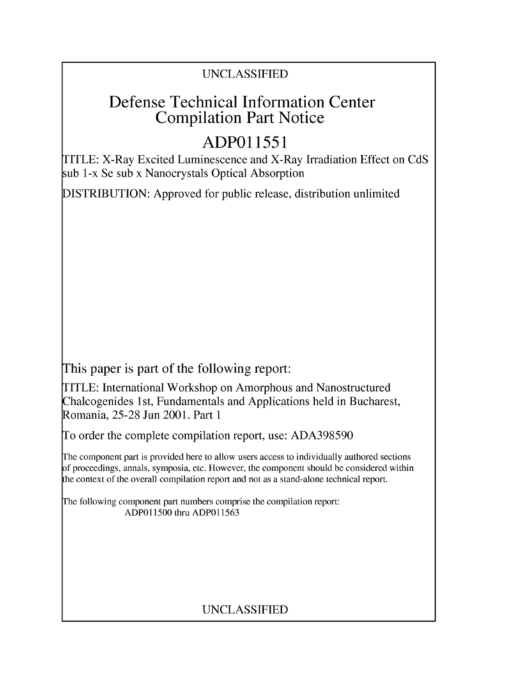### UNCLASSIFIED

## Defense Technical Information Center Compilation Part Notice

# **ADPO11551**

TITLE: X-Ray Excited Luminescence and X-Ray Irradiation Effect on CdS sub 1-x Se sub x Nanocrystals Optical Absorption

DISTRIBUTION: Approved for public release, distribution unlimited

This paper is part of the following report:

TITLE: International Workshop on Amorphous and Nanostructured Chalcogenides 1 st, Fundamentals and Applications held in Bucharest, Romania, 25-28 Jun 2001. Part 1

To order the complete compilation report, use: ADA398590

The component part is provided here to allow users access to individually authored sections f proceedings, annals, symposia, etc. However, the component should be considered within [he context of the overall compilation report and not as a stand-alone technical report.

The following component part numbers comprise the compilation report: ADPO11500 thru ADP011563

## UNCLASSIFIED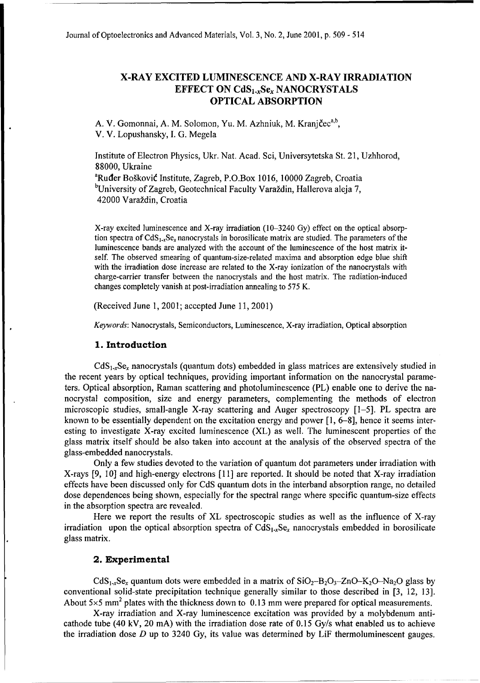### X-RAY **EXCITED LUMINESCENCE AND** X-RAY IRRADIATION **EFFECT ON CdS<sub>1-x</sub>Se<sub>x</sub> NANOCRYSTALS OPTICAL** ABSORPTION

A. V. Gomonnai, A. M. Solomon, Yu. M. Azhniuk, M. Kranj**č**ec<sup>a,b</sup>, V. V. Lopushansky, **I. G.** Megela

Institute of Electron Physics, Ukr. Nat. Acad. Sci, Universytetska St. 21, Uzhhorod, 88000, Ukraine

<sup>a</sup>Ruder Bošković Institute, Zagreb, P.O.Box 1016, 10000 Zagreb, Croatia <sup>b</sup>University of Zagreb, Geotechnical Faculty Varaždin, Hallerova aleja 7, 42000 Varaždin, Croatia

X-ray excited luminescence and X-ray irradiation (10-3240 Gy) effect on the optical absorption spectra of  $CdS_{1-x}Se_x$  nanocrystals in borosilicate matrix are studied. The parameters of the luminescence bands are analyzed with the account of the luminescence of the host matrix itself. The observed smearing of quantum-size-related maxima and absorption edge blue shift with the irradiation dose increase are related to the X-ray ionization of the nanocrystals with charge-carrier transfer between the nanocrystals and the host matrix. The radiation-induced changes completely vanish at post-irradiation annealing to 575 K.

(Received June 1, 2001; accepted June 11, 2001)

*Keywords:* Nanocrystals, Semiconductors, Luminescence, X-ray irradiation, Optical absorption

#### **1.** Introduction

 $CdS<sub>1-x</sub>Se<sub>x</sub>$  nanocrystals (quantum dots) embedded in glass matrices are extensively studied in the recent years by optical techniques, providing important information on the nanocrystal parameters. Optical absorption, Raman scattering and photoluminescence (PL) enable one to derive the nanocrystal composition, size and energy parameters, complementing the methods of electron microscopic studies, small-angle X-ray scattering and Auger spectroscopy [1-5]. PL spectra are known to be essentially dependent on the excitation energy and power [1, 6-8], hence it seems interesting to investigate X-ray excited luminescence (XL) as well. The luminescent properties of the glass matrix itself should be also taken into account at the analysis of the observed spectra of the glass-embedded nanocrystals.

Only a few studies devoted to the variation of quantum dot parameters under irradiation with X-rays [9, 10] and high-energy electrons [11] are reported. It should be noted that X-ray irradiation effects have been discussed only for CdS quantum dots in the interband absorption range, no detailed dose dependences being shown, especially for the spectral range where specific quantum-size effects in the absorption spectra are revealed.

Here we report the results of XL spectroscopic studies as well as the influence of X-ray irradiation upon the optical absorption spectra of  $CdS_{1-x}Se_x$  nanocrystals embedded in borosilicate glass matrix.

#### 2. Experimental

CdS<sub>1</sub><sub>x</sub>Se<sub>x</sub> quantum dots were embedded in a matrix of  $SiO_2-B_2O_3-ZnO-K_2O-R_{2Q}$  glass by conventional solid-state precipitation technique generally similar to those described in [3, 12, 13]. About  $5 \times 5$  mm<sup>2</sup> plates with the thickness down to 0.13 mm were prepared for optical measurements.

X-ray irradiation and X-ray luminescence excitation was provided by a molybdenum anticathode tube (40 kV, 20 mA) with the irradiation dose rate of 0.15 Gy/s what enabled us to achieve the irradiation dose  $D$  up to 3240 Gy, its value was determined by LiF thermoluminescent gauges.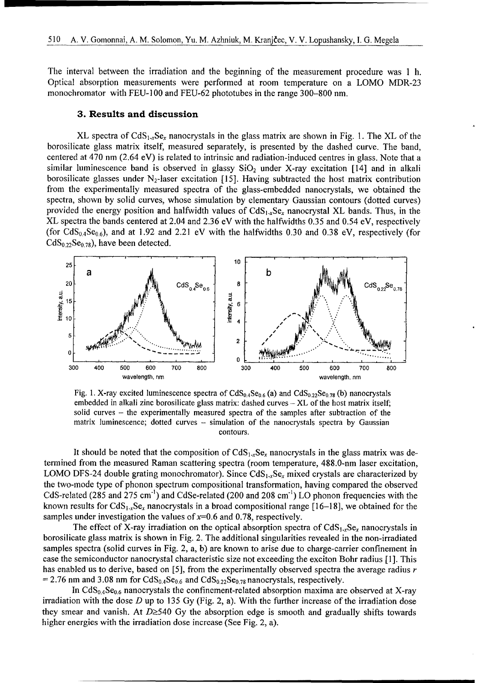The interval between the irradiation and the beginning of the measurement procedure was 1 h. Optical absorption measurements were performed at room temperature on a LOMO MDR-23 monochromator with FEU-100 and FEU-62 phototubes in the range 300–800 nm.

#### **3.** Results and discussion

XL spectra of  $CdS_{1x}Se_x$  nanocrystals in the glass matrix are shown in Fig. 1. The XL of the borosilicate glass matrix itself, measured separately, is presented by the dashed curve. The band, centered at 470 nm (2.64 eV) is related to intrinsic and radiation-induced centres in glass. Note that a similar luminescence band is observed in glassy  $SiO<sub>2</sub>$  under X-ray excitation [14] and in alkali borosilicate glasses under  $N_2$ -laser excitation [15]. Having subtracted the host matrix contribution from the experimentally measured spectra of the glass-embedded nanocrystals, we obtained the spectra, shown by solid curves, whose simulation by elementary Gaussian contours (dotted curves) provided the energy position and halfwidth values of  $CdS<sub>1-x</sub>Se<sub>x</sub>$  nanocrystal XL bands. Thus, in the XL spectra the bands centered at 2.04 and 2.36 eV with the halfwidths 0.35 and 0.54 eV, respectively (for  $CdS<sub>0.4</sub>Se<sub>0.6</sub>$ ), and at 1.92 and 2.21 eV with the halfwidths 0.30 and 0.38 eV, respectively (for  $CdS<sub>0.22</sub>Se<sub>0.78</sub>$ , have been detected.



Fig. 1. X-ray excited luminescence spectra of  $CdS_0.S_{21}$ . (a) and  $CdS_{02}S_{22}$  (b) nanocrystals embedded in alkali zinc borosilicate glass matrix: dashed curves  $-XL$  of the host matrix itself; solid curves – the experimentally measured spectra of the samples after subtraction of the matrix luminescence; dotted curves - simulation of the nanocrystals spectra by Gaussian contours.

It should be noted that the composition of  $CdS_{1-x}Se_x$  nanocrystals in the glass matrix was determined from the measured Raman scattering spectra (room temperature, 488.0-nm laser excitation, LOMO DFS-24 double grating monochromator). Since  $CdS<sub>1-x</sub>Se<sub>x</sub>$  mixed crystals are characterized by the two-mode type of phonon spectrum compositional transformation, having compared the observed CdS-related *(285* and 275 cm"') and CdSe-related (200 and 208 cm"') LO phonon frequencies with the known results for  $CdS_{1-x}Se_x$  nanocrystals in a broad compositional range [16-18], we obtained for the samples under investigation the values of  $x=0.6$  and 0.78, respectively.

The effect of X-ray irradiation on the optical absorption spectra of  $CdS_1$ ,  $Se$ , nanocrystals in borosilicate glass matrix is shown in Fig. 2. The additional singularities revealed in the non-irradiated samples spectra (solid curves in Fig. 2, a, b) are known to arise due to charge-carrier confinement in case the semiconductor nanocrystal characteristic size not exceeding the exciton Bohr radius [1]. This has enabled us to derive, based on *[5],* from the experimentally observed spectra the average radius *r*  $\epsilon$  2.76 nm and 3.08 nm for CdS<sub>0.</sub> Se<sub>0.6</sub> and CdS<sub>0.00</sub>Se<sub>0.50</sub> nanocrystals, respectively.

In and 5.00 km for each  $\frac{1}{2}$ , and each  $\frac{1}{2}$ ,  $\frac{1}{2}$ ,  $\frac{1}{2}$  and each  $\frac{1}{2}$  states is a processed at Y-ray irradiation with the dose *D* up to 135 Gy (Fig. 2, a). With the further increase of the irradiation dose they smear and vanish. At  $D \geq 540$  Gy the absorption edge is smooth and gradually shifts towards higher energies with the irradiation dose increase (See Fig. 2, a).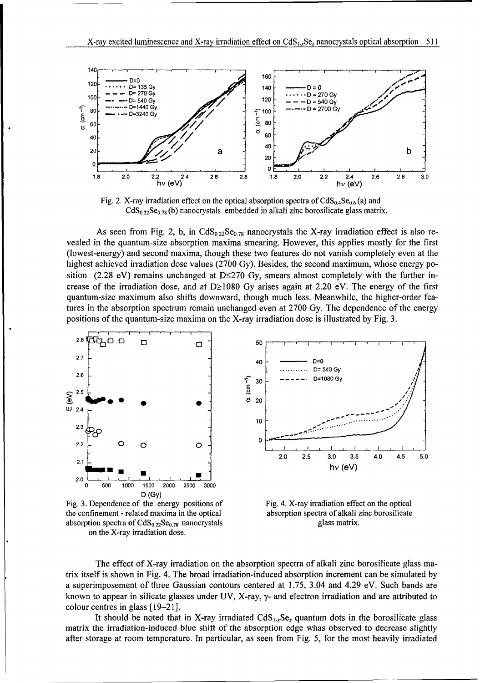

Fig. 2. X-ray irradiation effect on the optical absorption spectra of  $CdS_{0.4}Se_{0.6}$  (a) and  $CdS<sub>0.22</sub>Se<sub>0.78</sub>$  (b) nanocrystals embedded in alkali zinc borosilicate glass matrix.

As seen from Fig. 2, b, in CdS<sub>022</sub>Se<sub>078</sub> nanocrystals the X-ray irradiation effect is also revealed in the quantum-size absorption maxima smearing. However, this applies mostly for the first (lowest-energy) and second maxima, though these two features do not vanish completely even at the highest achieved irradiation dose values (2700 Gy). Besides, the second maximum, whose energy position (2.28 eV) remains unchanged at D $\leq$ 270 Gy, smears almost completely with the further increase of the irradiation dose, and at  $D \ge 1080$  Gy arises again at 2.20 eV. The energy of the first quantum-size maximum also shifts downward, though much less. Meanwhile, the higher-order features in the absorption spectrum remain unchanged even at 2700 Gy. The dependence of the energy positions of the quantum-size maxima on the X-ray irradiation dose is illustrated by Fig. 3.



the confinement -related maxima in the optical absorption spectra of alkali zinc borosilicate absorption spectra of  $CdS_{0.22}Se_{0.78}$  nanocrystals glass matrix on the X-ray irradiation dose.



The effect of X-ray irradiation on the absorption spectra of alkali zinc borosilicate glass matrix itself is shown in Fig. 4. The broad irradiation-induced absorption increment can be simulated by a superimposement of three Gaussian contours centered at 1.75, 3.04 and 4.29 eV. Such bands are known to appear in silicate glasses under UV, X-ray, y- and electron irradiation and are attributed to colour centres in glass [19-21].

It should be noted that in X-ray irradiated  $CdS<sub>1-x</sub>Se<sub>x</sub>$  quantum dots in the borosilicate glass matrix the irradiation-induced blue shift of the absorption edge whas observed to decrease slightly after storage at room temperature. In particular, as seen from Fig. 5, for the most heavily irradiated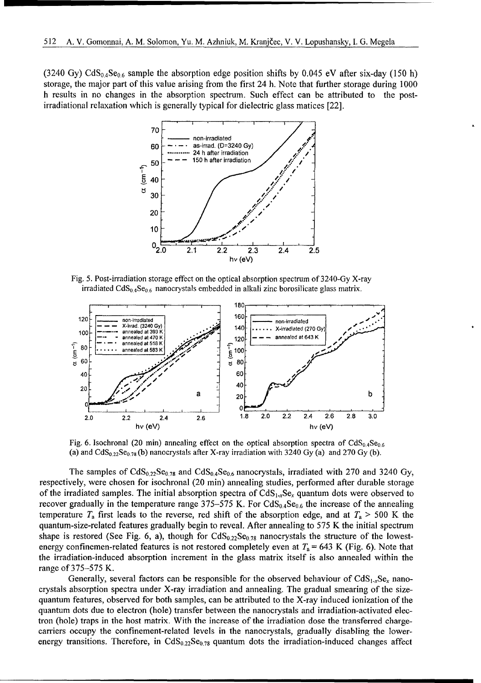(3240 Gy) CdS<sub>0.4</sub>Se<sub>0.6</sub> sample the absorption edge position shifts by 0.045 eV after six-day (150 h) storage, the major part of this value arising from the first 24 h. Note that further storage during 1000 h results in no changes in the absorption spectrum. Such effect can be attributed to the postirradiational relaxation which is generally typical for dielectric glass matices [22].



Fig. 5. Post-irradiation storage effect on the optical absorption spectrum of 3240-Gy X-ray irradiated  $CdS_{0.4}Se_{0.6}$  nanocrystals embedded in alkali zinc borosilicate glass matrix.



Fig. 6. Isochronal (20 min) annealing effect on the optical absorption spectra of  $CdS_{0.4}Se_{0.6}$ (a) and  $CdS<sub>0.22</sub>Se<sub>0.78</sub>$  (b) nanocrystals after X-ray irradiation with 3240 Gy (a) and 270 Gy (b).

The samples of  $CdS_{0.22}Se_{0.78}$  and  $CdS_{0.4}Se_{0.6}$  nanocrystals, irradiated with 270 and 3240 Gy, respectively, were chosen for isochronal (20 min) annealing studies, performed after durable storage of the irradiated samples. The initial absorption spectra of  $CdS_{1,x}Se_x$  quantum dots were observed to recover gradually in the temperature range 375–575 K. For  $C dS_{0.4}Se_{0.6}$  the increase of the annealing temperature  $T_a$  first leads to the reverse, red shift of the absorption edge, and at  $T_a > 500$  K the quantum-size-related features gradually begin to reveal. After annealing to 575 K the initial spectrum shape is restored (See Fig. 6, a), though for  $CdS_{0.22}Se_{0.78}$  nanocrystals the structure of the lowestenergy confinemen-related features is not restored completely even at  $T_a = 643$  K (Fig. 6). Note that the irradiation-induced absorption increment in the glass matrix itself is also annealed within the range of 375-575 K.

Generally, several factors can be responsible for the observed behaviour of  $CdS<sub>1-x</sub>Se<sub>x</sub>$  nanocrystals absorption spectra under X-ray irradiation and annealing. The gradual smearing of the sizequantum features, observed for both samples, can be attributed to the X-ray induced ionization of the quantum dots due to electron (hole) transfer between the nanocrystals and irradiation-activated electron (hole) traps in the host matrix. With the increase of the irradiation dose the transferred chargecarriers occupy the confinement-related levels in the nanocrystals, gradually disabling the lowerenergy transitions. Therefore, in  $C dS_{0.22}Se<sub>0.78</sub>$  quantum dots the irradiation-induced changes affect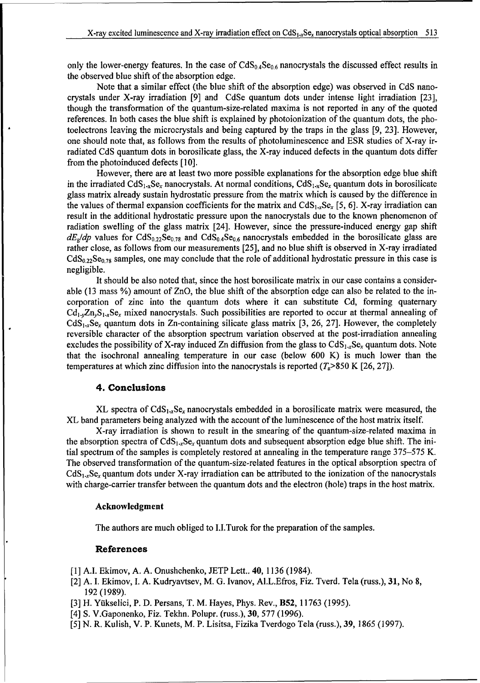only the lower-energy features. In the case of  $CdS_{0.4}Se_{0.6}$  nanocrystals the discussed effect results in the observed blue shift of the absorption edge.

Note that a similar effect (the blue shift of the absorption edge) was observed in CdS nanocrystals under X-ray irradiation [9] and CdSe quantum dots under intense light irradiation [23], though the transformation of the quantum-size-related maxima is not reported in any of the quoted references. In both cases the blue shift is explained by photoionization of the quantum dots, the photoelectrons leaving the microcrystals and being captured by the traps in the glass [9, 23]. However, one should note that, as follows from the results of photoluminescence and ESR studies of X-ray irradiated CdS quantum dots in borosilicate glass, the X-ray induced defects in the quantum dots differ from the photoinduced defects **[10].**

However, there are at least two more possible explanations for the absorption edge blue shift in the irradiated  $CdS_{1-x}Se_x$  nanocrystals. At normal conditions,  $CdS_{1-x}Se_x$  quantum dots in borosilicate glass matrix already sustain hydrostatic pressure from the matrix which is caused by the difference in the values of thermal expansion coefficients for the matrix and  $CdS<sub>1-x</sub>Se<sub>x</sub>$  [5, 6]. X-ray irradiation can result in the additional hydrostatic pressure upon the nanocrystals due to the known phenomenon of radiation swelling of the glass matrix [24]. However, since the pressure-induced energy gap shift  $dE_g/dp$  values for  $CdS_{0.22}Se_{0.78}$  and  $CdS_{0.4}Se_{0.6}$  nanocrystals embedded in the borosilicate glass are rather close, as follows from our measurements [25], and no blue shift is observed in X-ray irradiated  $CdS<sub>0.22</sub>Se<sub>0.78</sub>$  samples, one may conclude that the role of additional hydrostatic pressure in this case is negligible.

It should be also noted that, since the host borosilicate matrix in our case contains a considerable (13 mass %) amount of ZnO, the blue shift of the absorption edge can also be related to the incorporation of zinc into the quantum dots where it can substitute Cd, forming quaternary  $Cd_{1,y}Z_{1,y}S_{1,y}S_{2}$  mixed nanocrystals. Such possibilities are reported to occur at thermal annealing of  $CdS<sub>1-r</sub>Se<sub>r</sub>$  quantum dots in Zn-containing silicate glass matrix [3, 26, 27]. However, the completely reversible character of the absorption spectrum variation observed at the post-irradiation annealing excludes the possibility of X-ray induced Zn diffusion from the glass to  $CdS<sub>1-x</sub>Se<sub>x</sub>$  quantum dots. Note that the isochronal annealing temperature in our case (below 600 K) is much lower than the temperatures at which zinc diffusion into the nanocrystals is reported  $(T_a > 850 \text{ K } [26, 27])$ .

#### 4. Conclusions

XL spectra of  $CdS_{1-x}Se_x$  nanocrystals embedded in a borosilicate matrix were measured, the XL band parameters being analyzed with the account of the luminescence of the host matrix itself.

X-ray irradiation is shown to result in the smearing of the quantum-size-related maxima in the absorption spectra of  $CdS_{1-x}Se_x$  quantum dots and subsequent absorption edge blue shift. The initial spectrum of the samples is completely restored at annealing in the temperature range 375-575 K. The observed transformation of the quantum-size-related features in the optical absorption spectra of  $CdS<sub>1,r</sub>Se<sub>r</sub> quantum dots under X-ray irradiation can be attributed to the ionization of the nanocrystals$ with charge-carrier transfer between the quantum dots and the electron (hole) traps in the host matrix.

#### Acknowledgment

The authors are much obliged to I.I.Turok for the preparation of the samples.

#### References

- [1] A.I. Ekimov, **A.** A. Onushchenko, JETP Lett.. 40, 1136 (1984).
- [2] A. I. Ekimov, I. A. Kudryavtsev, M. G. Ivanov, Al.L.Efros, Fiz. Tverd. Tela (russ.), 31, No 8, 192 (1989).
- [3] H. Yikselici, P. D. Persans, T. M. Hayes, Phys. Rev., B52, 11763 (1995).
- [4] S. V.Gaponenko, Fiz. Tekhn. Polupr. (russ.), 30, 577 (1996).
- [5] N. R. Kulish, V. P. Kunets, M. P. Lisitsa, Fizika Tverdogo Tela (russ.), 39, 1865 (1997).